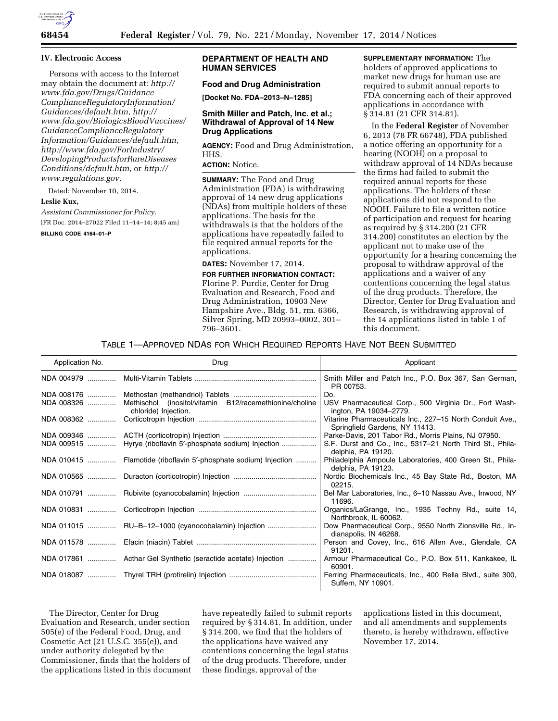

#### **IV. Electronic Access**

Persons with access to the Internet may obtain the document at: *[http://](http://www.fda.gov/Drugs/GuidanceComplianceRegulatoryInformation/Guidances/default.htm)  [www.fda.gov/Drugs/Guidance](http://www.fda.gov/Drugs/GuidanceComplianceRegulatoryInformation/Guidances/default.htm) [ComplianceRegulatoryInformation/](http://www.fda.gov/Drugs/GuidanceComplianceRegulatoryInformation/Guidances/default.htm) [Guidances/default.htm](http://www.fda.gov/Drugs/GuidanceComplianceRegulatoryInformation/Guidances/default.htm)*, *[http://](http://www.fda.gov/BiologicsBloodVaccines/GuidanceComplianceRegulatoryInformation/Guidances/default.htm)  [www.fda.gov/BiologicsBloodVaccines/](http://www.fda.gov/BiologicsBloodVaccines/GuidanceComplianceRegulatoryInformation/Guidances/default.htm)  GuidanceComplianceRegulatory Information/Guidances/default.htm*, *[http://www.fda.gov/ForIndustry/](http://www.fda.gov/ForIndustry/DevelopingProductsforRareDiseasesConditions/default.htm)  DevelopingProductsforRareDiseases [Conditions/default.htm](http://www.fda.gov/ForIndustry/DevelopingProductsforRareDiseasesConditions/default.htm)*, or *[http://](http://www.regulations.gov) [www.regulations.gov.](http://www.regulations.gov)* 

Dated: November 10, 2014.

#### **Leslie Kux,**

*Assistant Commissioner for Policy.*  [FR Doc. 2014–27022 Filed 11–14–14; 8:45 am]

**BILLING CODE 4164–01–P** 

## **DEPARTMENT OF HEALTH AND HUMAN SERVICES**

# **Food and Drug Administration**

**[Docket No. FDA–2013–N–1285]** 

#### **Smith Miller and Patch, Inc. et al.; Withdrawal of Approval of 14 New Drug Applications**

**AGENCY:** Food and Drug Administration, HHS.

## **ACTION:** Notice.

**SUMMARY:** The Food and Drug Administration (FDA) is withdrawing approval of 14 new drug applications (NDAs) from multiple holders of these applications. The basis for the withdrawals is that the holders of the applications have repeatedly failed to file required annual reports for the applications.

**DATES:** November 17, 2014. **FOR FURTHER INFORMATION CONTACT:**  Florine P. Purdie, Center for Drug Evaluation and Research, Food and Drug Administration, 10903 New Hampshire Ave., Bldg. 51, rm. 6366, Silver Spring, MD 20993–0002, 301– 796–3601.

**SUPPLEMENTARY INFORMATION:** The holders of approved applications to market new drugs for human use are required to submit annual reports to FDA concerning each of their approved applications in accordance with § 314.81 (21 CFR 314.81).

In the **Federal Register** of November 6, 2013 (78 FR 66748), FDA published a notice offering an opportunity for a hearing (NOOH) on a proposal to withdraw approval of 14 NDAs because the firms had failed to submit the required annual reports for these applications. The holders of these applications did not respond to the NOOH. Failure to file a written notice of participation and request for hearing as required by § 314.200 (21 CFR 314.200) constitutes an election by the applicant not to make use of the opportunity for a hearing concerning the proposal to withdraw approval of the applications and a waiver of any contentions concerning the legal status of the drug products. Therefore, the Director, Center for Drug Evaluation and Research, is withdrawing approval of the 14 applications listed in table 1 of this document.

| Application No. | Drug                                                                            | Applicant                                                                                   |
|-----------------|---------------------------------------------------------------------------------|---------------------------------------------------------------------------------------------|
| NDA 004979      |                                                                                 | Smith Miller and Patch Inc., P.O. Box 367, San German,<br>PR 00753.                         |
| NDA 008176      |                                                                                 | Do.                                                                                         |
| NDA 008326      | Methischol (inositol/vitamin B12/racemethionine/choline<br>chloride) Injection. | USV Pharmaceutical Corp., 500 Virginia Dr., Fort Wash-<br>ington, PA 19034-2779.            |
| NDA 008362      |                                                                                 | Vitarine Pharmaceuticals Inc., 227-15 North Conduit Ave.,<br>Springfield Gardens, NY 11413. |
| NDA 009346      |                                                                                 | Parke-Davis, 201 Tabor Rd., Morris Plains, NJ 07950.                                        |
| NDA 009515      | Hyrye (riboflavin 5'-phosphate sodium) Injection                                | S.F. Durst and Co., Inc., 5317-21 North Third St., Phila-<br>delphia, PA 19120.             |
| NDA 010415      | Flamotide (riboflavin 5'-phosphate sodium) Injection                            | Philadelphia Ampoule Laboratories, 400 Green St., Phila-<br>delphia, PA 19123.              |
| NDA 010565      |                                                                                 | Nordic Biochemicals Inc., 45 Bay State Rd., Boston, MA<br>02215.                            |
|                 |                                                                                 | Bel Mar Laboratories, Inc., 6-10 Nassau Ave., Inwood, NY<br>11696.                          |
| NDA 010831      |                                                                                 | Organics/LaGrange, Inc., 1935 Techny Rd., suite 14,<br>Northbrook, IL 60062.                |
| NDA 011015      |                                                                                 | Dow Pharmaceutical Corp., 9550 North Zionsville Rd., In-<br>dianapolis, IN 46268.           |
| NDA 011578      |                                                                                 | Person and Covey, Inc., 616 Allen Ave., Glendale, CA<br>91201.                              |
| NDA 017861      | Acthar Gel Synthetic (seractide acetate) Injection                              | Armour Pharmaceutical Co., P.O. Box 511, Kankakee, IL<br>60901.                             |
|                 |                                                                                 | Ferring Pharmaceuticals, Inc., 400 Rella Blvd., suite 300,<br>Suffern, NY 10901.            |

The Director, Center for Drug Evaluation and Research, under section 505(e) of the Federal Food, Drug, and Cosmetic Act (21 U.S.C. 355(e)), and under authority delegated by the Commissioner, finds that the holders of the applications listed in this document

have repeatedly failed to submit reports required by § 314.81. In addition, under § 314.200, we find that the holders of the applications have waived any contentions concerning the legal status of the drug products. Therefore, under these findings, approval of the

applications listed in this document, and all amendments and supplements thereto, is hereby withdrawn, effective November 17, 2014.